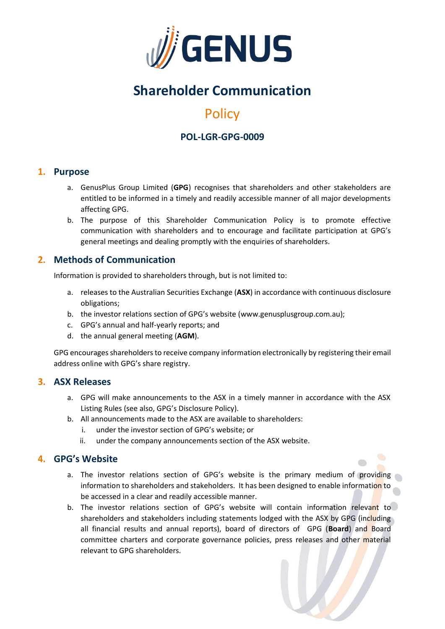

# **Shareholder Communication**

## **Policy**

## **POL-LGR-GPG-0009**

## **1. Purpose**

- a. GenusPlus Group Limited (**GPG**) recognises that shareholders and other stakeholders are entitled to be informed in a timely and readily accessible manner of all major developments affecting GPG.
- b. The purpose of this Shareholder Communication Policy is to promote effective communication with shareholders and to encourage and facilitate participation at GPG's general meetings and dealing promptly with the enquiries of shareholders.

## **2. Methods of Communication**

Information is provided to shareholders through, but is not limited to:

- a. releases to the Australian Securities Exchange (**ASX**) in accordance with continuous disclosure obligations;
- b. the investor relations section of GPG's website (www.genusplusgroup.com.au);
- c. GPG's annual and half-yearly reports; and
- d. the annual general meeting (**AGM**).

GPG encourages shareholders to receive company information electronically by registering their email address online with GPG's share registry.

## **3. ASX Releases**

- a. GPG will make announcements to the ASX in a timely manner in accordance with the ASX Listing Rules (see also, GPG's Disclosure Policy).
- b. All announcements made to the ASX are available to shareholders:
	- i. under the investor section of GPG's website; or
	- ii. under the company announcements section of the ASX website.

## **4. GPG's Website**

- a. The investor relations section of GPG's website is the primary medium of providing information to shareholders and stakeholders. It has been designed to enable information to be accessed in a clear and readily accessible manner.
- b. The investor relations section of GPG's website will contain information relevant to shareholders and stakeholders including statements lodged with the ASX by GPG (including all financial results and annual reports), board of directors of GPG (**Board**) and Board committee charters and corporate governance policies, press releases and other material relevant to GPG shareholders.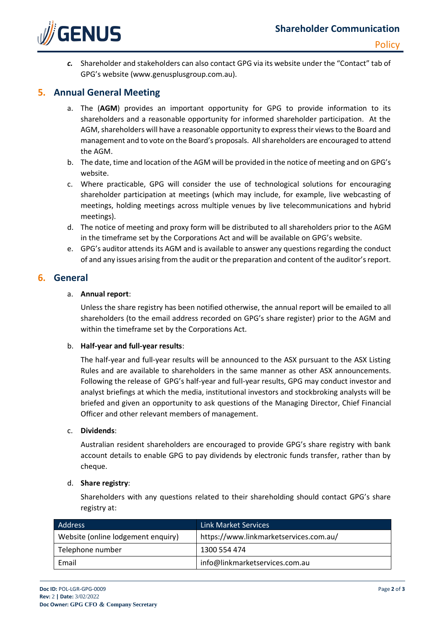

*c.* Shareholder and stakeholders can also contact GPG via its website under the "Contact" tab of GPG's website (www.genusplusgroup.com.au).

## **5. Annual General Meeting**

- a. The (**AGM**) provides an important opportunity for GPG to provide information to its shareholders and a reasonable opportunity for informed shareholder participation. At the AGM, shareholders will have a reasonable opportunity to express their views to the Board and management and to vote on the Board's proposals. All shareholders are encouraged to attend the AGM.
- b. The date, time and location of the AGM will be provided in the notice of meeting and on GPG's website.
- c. Where practicable, GPG will consider the use of technological solutions for encouraging shareholder participation at meetings (which may include, for example, live webcasting of meetings, holding meetings across multiple venues by live telecommunications and hybrid meetings).
- d. The notice of meeting and proxy form will be distributed to all shareholders prior to the AGM in the timeframe set by the Corporations Act and will be available on GPG's website.
- e. GPG's auditor attends its AGM and is available to answer any questions regarding the conduct of and any issues arising from the audit or the preparation and content of the auditor's report.

#### **6. General**

#### a. **Annual report**:

Unless the share registry has been notified otherwise, the annual report will be emailed to all shareholders (to the email address recorded on GPG's share register) prior to the AGM and within the timeframe set by the Corporations Act.

#### b. **Half-year and full-year results**:

The half-year and full-year results will be announced to the ASX pursuant to the ASX Listing Rules and are available to shareholders in the same manner as other ASX announcements. Following the release of GPG's half-year and full-year results, GPG may conduct investor and analyst briefings at which the media, institutional investors and stockbroking analysts will be briefed and given an opportunity to ask questions of the Managing Director, Chief Financial Officer and other relevant members of management.

#### c. **Dividends**:

Australian resident shareholders are encouraged to provide GPG's share registry with bank account details to enable GPG to pay dividends by electronic funds transfer, rather than by cheque.

#### d. **Share registry**:

Shareholders with any questions related to their shareholding should contact GPG's share registry at:

| Address                            | <b>Link Market Services</b>            |
|------------------------------------|----------------------------------------|
| Website (online lodgement enquiry) | https://www.linkmarketservices.com.au/ |
| Telephone number                   | 1300 554 474                           |
| Email                              | info@linkmarketservices.com.au         |